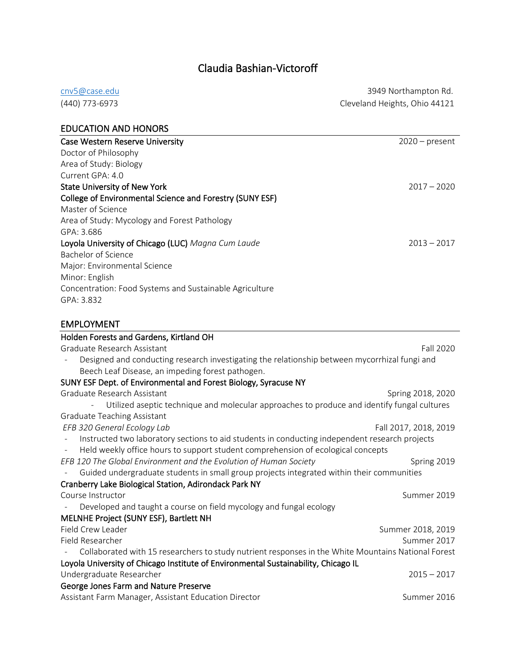# Claudia Bashian-Victoroff

| cnv5@case.edu  | 3949 Northampton Rd.          |
|----------------|-------------------------------|
| (440) 773-6973 | Cleveland Heights, Ohio 44121 |

| <b>EDUCATION AND HONORS</b>                              |                  |
|----------------------------------------------------------|------------------|
| <b>Case Western Reserve University</b>                   | $2020$ – present |
| Doctor of Philosophy                                     |                  |
| Area of Study: Biology                                   |                  |
| Current GPA: 4.0                                         |                  |
| <b>State University of New York</b>                      | $2017 - 2020$    |
| College of Environmental Science and Forestry (SUNY ESF) |                  |
| Master of Science                                        |                  |
| Area of Study: Mycology and Forest Pathology             |                  |
| GPA: 3.686                                               |                  |
| Loyola University of Chicago (LUC) Magna Cum Laude       | $2013 - 2017$    |
| Bachelor of Science                                      |                  |
| Major: Environmental Science                             |                  |
| Minor: English                                           |                  |
| Concentration: Food Systems and Sustainable Agriculture  |                  |
| GPA: 3.832                                               |                  |
|                                                          |                  |

EMPLOYMENT

| Holden Forests and Gardens, Kirtland OH                                                                      |                       |
|--------------------------------------------------------------------------------------------------------------|-----------------------|
| Graduate Research Assistant                                                                                  | Fall 2020             |
| Designed and conducting research investigating the relationship between mycorrhizal fungi and                |                       |
| Beech Leaf Disease, an impeding forest pathogen.                                                             |                       |
| SUNY ESF Dept. of Environmental and Forest Biology, Syracuse NY                                              |                       |
| Graduate Research Assistant                                                                                  | Spring 2018, 2020     |
| Utilized aseptic technique and molecular approaches to produce and identify fungal cultures                  |                       |
| <b>Graduate Teaching Assistant</b>                                                                           |                       |
| EFB 320 General Ecology Lab                                                                                  | Fall 2017, 2018, 2019 |
| Instructed two laboratory sections to aid students in conducting independent research projects               |                       |
| Held weekly office hours to support student comprehension of ecological concepts<br>$\overline{\phantom{a}}$ |                       |
| EFB 120 The Global Environment and the Evolution of Human Society                                            | Spring 2019           |
| Guided undergraduate students in small group projects integrated within their communities                    |                       |
| Cranberry Lake Biological Station, Adirondack Park NY                                                        |                       |
| Course Instructor                                                                                            | Summer 2019           |
| Developed and taught a course on field mycology and fungal ecology                                           |                       |
| MELNHE Project (SUNY ESF), Bartlett NH                                                                       |                       |
| Field Crew Leader                                                                                            | Summer 2018, 2019     |
| Field Researcher                                                                                             | Summer 2017           |
| Collaborated with 15 researchers to study nutrient responses in the White Mountains National Forest          |                       |
| Loyola University of Chicago Institute of Environmental Sustainability, Chicago IL                           |                       |
| Undergraduate Researcher                                                                                     | $2015 - 2017$         |
| George Jones Farm and Nature Preserve                                                                        |                       |
| Assistant Farm Manager, Assistant Education Director                                                         | Summer 2016           |
|                                                                                                              |                       |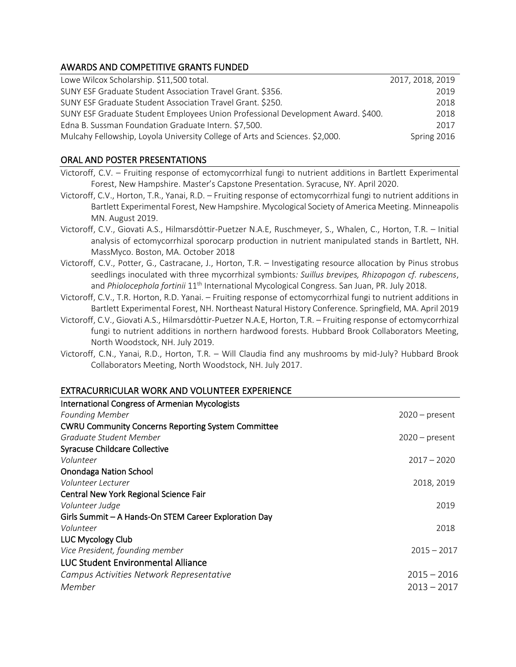## AWARDS AND COMPETITIVE GRANTS FUNDED

| Lowe Wilcox Scholarship. \$11,500 total.                                         | 2017, 2018, 2019 |
|----------------------------------------------------------------------------------|------------------|
| SUNY ESF Graduate Student Association Travel Grant. \$356.                       | 2019             |
| SUNY ESF Graduate Student Association Travel Grant. \$250.                       | 2018             |
| SUNY ESF Graduate Student Employees Union Professional Development Award. \$400. | 2018             |
| Edna B. Sussman Foundation Graduate Intern. \$7,500.                             | 2017             |
| Mulcahy Fellowship, Loyola University College of Arts and Sciences. \$2,000.     | Spring 2016      |

## ORAL AND POSTER PRESENTATIONS

- Victoroff, C.V. – [Fruiting response of ectomycorrhizal fungi to nutrient additions in Bartlett Experimental](https://app.oxfordabstracts.com/events/837/program-app/submission/122747)  [Forest, New Hampshire.](https://app.oxfordabstracts.com/events/837/program-app/submission/122747) Master's Capstone Presentation. Syracuse, NY. April 2020.
- Victoroff, C.V., Horton, T.R., Yanai, R.D. – [Fruiting response of ectomycorrhizal fungi to nutrient additions in](https://app.oxfordabstracts.com/events/837/program-app/submission/122747)  [Bartlett Experimental Forest, New Hampshire.](https://app.oxfordabstracts.com/events/837/program-app/submission/122747) Mycological Society of America Meeting. Minneapolis MN. August 2019.
- Victoroff, C.V., Giovati A.S., Hilmarsdóttir-Puetzer N.A.E, Ruschmeyer, S., Whalen, C., Horton, T.R. Initial analysis of ectomycorrhizal sporocarp production in nutrient manipulated stands in Bartlett, NH. MassMyco. Boston, MA. October 2018
- Victoroff, C.V., Potter, G., Castracane, J., Horton, T.R. Investigating resource allocation by Pinus strobus seedlings inoculated with three mycorrhizal symbionts*: Suillus brevipes, Rhizopogon cf. rubescens*, and *Phiolocephola fortinii* 11th International Mycological Congress. San Juan, PR. July 2018.
- Victoroff, C.V., T.R. Horton, R.D. Yanai. Fruiting response of ectomycorrhizal fungi to nutrient additions in Bartlett Experimental Forest, NH. Northeast Natural History Conference. Springfield, MA. April 2019
- Victoroff, C.V., Giovati A.S., Hilmarsdottir-Puetzer N.A.E, Horton, T.R. Fruiting response of ectomycorrhizal fungi to nutrient additions in northern hardwood forests. Hubbard Brook Collaborators Meeting, North Woodstock, NH. July 2019.
- Victoroff, C.N., Yanai, R.D., Horton, T.R. Will Claudia find any mushrooms by mid-July? Hubbard Brook Collaborators Meeting, North Woodstock, NH. July 2017.

### EXTRACURRICULAR WORK AND VOLUNTEER EXPERIENCE

| <b>International Congress of Armenian Mycologists</b>     |                  |
|-----------------------------------------------------------|------------------|
| <b>Founding Member</b>                                    | $2020 - present$ |
| <b>CWRU Community Concerns Reporting System Committee</b> |                  |
| Graduate Student Member                                   | $2020$ – present |
| <b>Syracuse Childcare Collective</b>                      |                  |
| Volunteer                                                 | $2017 - 2020$    |
| <b>Onondaga Nation School</b>                             |                  |
| Volunteer Lecturer                                        | 2018, 2019       |
| Central New York Regional Science Fair                    |                  |
| Volunteer Judge                                           | 2019             |
| Girls Summit - A Hands-On STEM Career Exploration Day     |                  |
| Volunteer                                                 | 2018             |
| LUC Mycology Club                                         |                  |
| Vice President, founding member                           | $2015 - 2017$    |
| <b>LUC Student Environmental Alliance</b>                 |                  |
| Campus Activities Network Representative                  | $2015 - 2016$    |
| Member                                                    | $2013 - 2017$    |